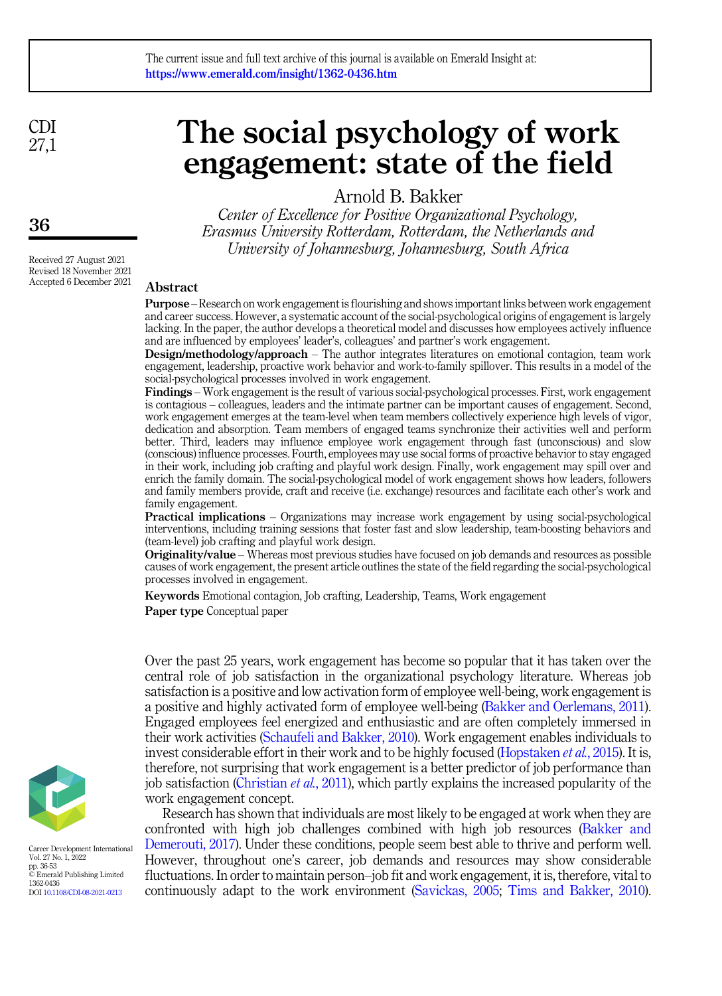CDI 27,1

# The social psychology of work engagement: state of the field

Arnold B. Bakker

Center of Excellence for Positive Organizational Psychology, Erasmus University Rotterdam, Rotterdam, the Netherlands and University of Johannesburg, Johannesburg, South Africa

Received 27 August 2021 Revised 18 November 2021 Accepted 6 December 2021

## Abstract

Purpose – Research on work engagement is flourishing and shows important links between work engagement and career success. However, a systematic account of the social-psychological origins of engagement is largely lacking. In the paper, the author develops a theoretical model and discusses how employees actively influence and are influenced by employees' leader's, colleagues' and partner's work engagement.

Design/methodology/approach – The author integrates literatures on emotional contagion, team work engagement, leadership, proactive work behavior and work-to-family spillover. This results in a model of the social-psychological processes involved in work engagement.

Findings – Work engagement is the result of various social-psychological processes. First, work engagement is contagious – colleagues, leaders and the intimate partner can be important causes of engagement. Second, work engagement emerges at the team-level when team members collectively experience high levels of vigor, dedication and absorption. Team members of engaged teams synchronize their activities well and perform better. Third, leaders may influence employee work engagement through fast (unconscious) and slow (conscious) influence processes. Fourth, employees may use social forms of proactive behavior to stay engaged in their work, including job crafting and playful work design. Finally, work engagement may spill over and enrich the family domain. The social-psychological model of work engagement shows how leaders, followers and family members provide, craft and receive (i.e. exchange) resources and facilitate each other's work and family engagement.

Practical implications – Organizations may increase work engagement by using social-psychological interventions, including training sessions that foster fast and slow leadership, team-boosting behaviors and (team-level) job crafting and playful work design.

Originality/value – Whereas most previous studies have focused on job demands and resources as possible causes of work engagement, the present article outlines the state of the field regarding the social-psychological processes involved in engagement.

Keywords Emotional contagion, Job crafting, Leadership, Teams, Work engagement Paper type Conceptual paper

Over the past 25 years, work engagement has become so popular that it has taken over the central role of job satisfaction in the organizational psychology literature. Whereas job satisfaction is a positive and low activation form of employee well-being, work engagement is a positive and highly activated form of employee well-being [\(Bakker and Oerlemans, 2011\)](#page-13-0). Engaged employees feel energized and enthusiastic and are often completely immersed in their work activities ([Schaufeli and Bakker, 2010](#page-16-0)). Work engagement enables individuals to invest considerable effort in their work and to be highly focused [\(Hopstaken](#page-14-0) *et al.*, 2015). It is, therefore, not surprising that work engagement is a better predictor of job performance than job satisfaction ([Christian](#page-14-1) *et al.*, 2011), which partly explains the increased popularity of the work engagement concept.

Research has shown that individuals are most likely to be engaged at work when they are confronted with high job challenges combined with high job resources [\(Bakker and](#page-12-0) [Demerouti, 2017\)](#page-12-0). Under these conditions, people seem best able to thrive and perform well. However, throughout one's career, job demands and resources may show considerable fluctuations. In order to maintain person–job fit and work engagement, it is, therefore, vital to continuously adapt to the work environment ([Savickas, 2005](#page-15-0); [Tims and Bakker, 2010\)](#page-16-1).



Career Development International Vol. 27 No. 1, 2022 pp. 36-53 © Emerald Publishing Limited 1362-0436 DOI [10.1108/CDI-08-2021-0213](https://doi.org/10.1108/CDI-08-2021-0213)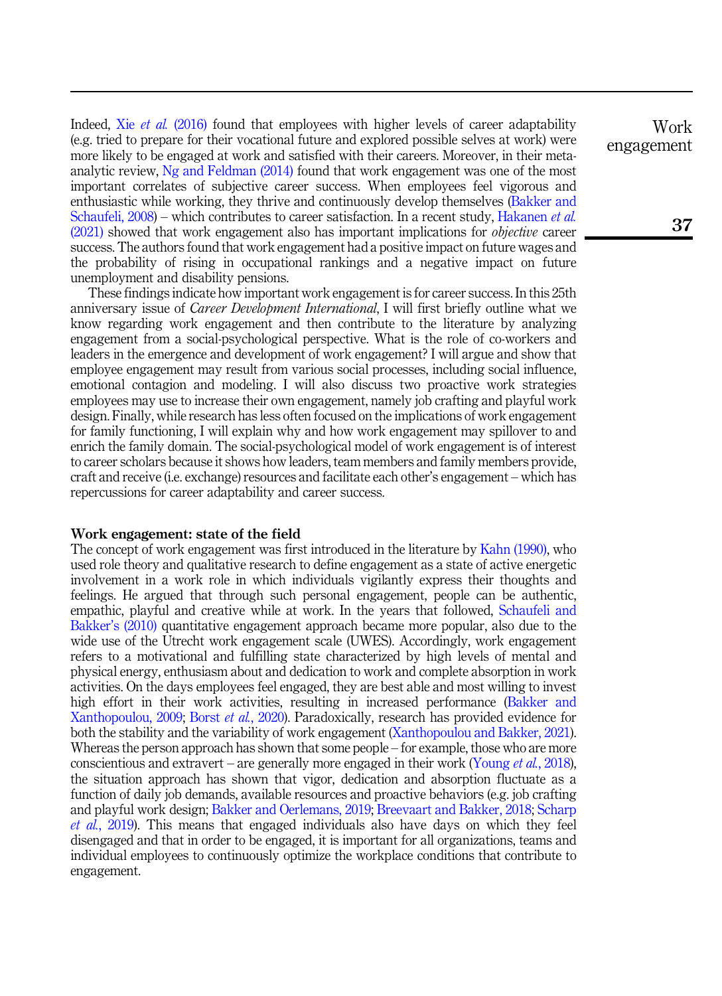Indeed, Xie et al. [\(2016\)](#page-17-0) found that employees with higher levels of career adaptability (e.g. tried to prepare for their vocational future and explored possible selves at work) were more likely to be engaged at work and satisfied with their careers. Moreover, in their metaanalytic review, [Ng and Feldman \(2014\)](#page-15-1) found that work engagement was one of the most important correlates of subjective career success. When employees feel vigorous and enthusiastic while working, they thrive and continuously develop themselves [\(Bakker and](#page-13-1) [Schaufeli, 2008](#page-13-1)) – which contributes to career satisfaction. In a recent study, [Hakanen](#page-14-2) et al. [\(2021\)](#page-14-2) showed that work engagement also has important implications for objective career success. The authors found that work engagement had a positive impact on future wages and the probability of rising in occupational rankings and a negative impact on future unemployment and disability pensions.

These findings indicate how important work engagement is for career success. In this 25th anniversary issue of Career Development International, I will first briefly outline what we know regarding work engagement and then contribute to the literature by analyzing engagement from a social-psychological perspective. What is the role of co-workers and leaders in the emergence and development of work engagement? I will argue and show that employee engagement may result from various social processes, including social influence, emotional contagion and modeling. I will also discuss two proactive work strategies employees may use to increase their own engagement, namely job crafting and playful work design. Finally, while research has less often focused on the implications of work engagement for family functioning, I will explain why and how work engagement may spillover to and enrich the family domain. The social-psychological model of work engagement is of interest to career scholars because it shows how leaders, team members and family members provide, craft and receive (i.e. exchange) resources and facilitate each other's engagement – which has repercussions for career adaptability and career success.

## Work engagement: state of the field

The concept of work engagement was first introduced in the literature by [Kahn \(1990\),](#page-15-2) who used role theory and qualitative research to define engagement as a state of active energetic involvement in a work role in which individuals vigilantly express their thoughts and feelings. He argued that through such personal engagement, people can be authentic, empathic, playful and creative while at work. In the years that followed, [Schaufeli and](#page-16-0) Bakker'[s \(2010\)](#page-16-0) quantitative engagement approach became more popular, also due to the wide use of the Utrecht work engagement scale (UWES). Accordingly, work engagement refers to a motivational and fulfilling state characterized by high levels of mental and physical energy, enthusiasm about and dedication to work and complete absorption in work activities. On the days employees feel engaged, they are best able and most willing to invest high effort in their work activities, resulting in increased performance ([Bakker and](#page-13-2) [Xanthopoulou, 2009;](#page-13-2) Borst et al.[, 2020](#page-13-3)). Paradoxically, research has provided evidence for both the stability and the variability of work engagement [\(Xanthopoulou and Bakker, 2021\)](#page-17-1). Whereas the person approach has shown that some people – for example, those who are more conscientious and extravert – are generally more engaged in their work [\(Young](#page-17-2) *et al.*, 2018), the situation approach has shown that vigor, dedication and absorption fluctuate as a function of daily job demands, available resources and proactive behaviors (e.g. job crafting and playful work design; [Bakker and Oerlemans, 2019;](#page-13-4) [Breevaart and Bakker, 2018](#page-13-5); [Scharp](#page-16-2) et al.[, 2019](#page-16-2)). This means that engaged individuals also have days on which they feel disengaged and that in order to be engaged, it is important for all organizations, teams and individual employees to continuously optimize the workplace conditions that contribute to engagement.

Work engagement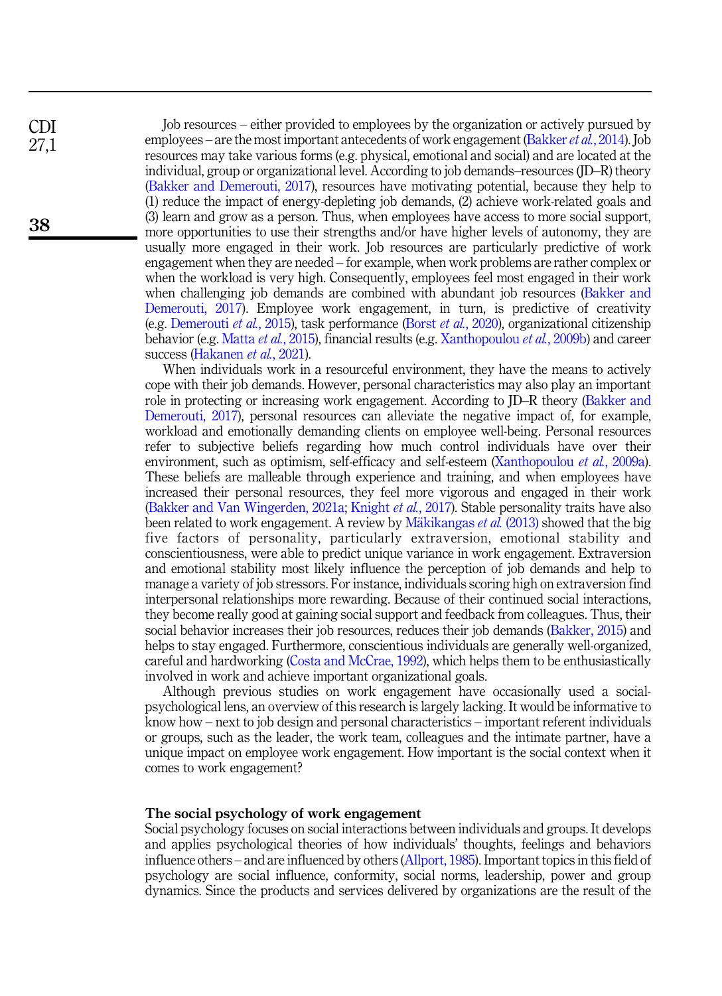Job resources – either provided to employees by the organization or actively pursued by employees – are the most important antecedents of work engagement [\(Bakker](#page-13-6) *et al.*, 2014). Job resources may take various forms (e.g. physical, emotional and social) and are located at the individual, group or organizational level. According to job demands–resources (JD–R) theory ([Bakker and Demerouti, 2017\)](#page-12-0), resources have motivating potential, because they help to (1) reduce the impact of energy-depleting job demands, (2) achieve work-related goals and (3) learn and grow as a person. Thus, when employees have access to more social support, more opportunities to use their strengths and/or have higher levels of autonomy, they are usually more engaged in their work. Job resources are particularly predictive of work engagement when they are needed – for example, when work problems are rather complex or when the workload is very high. Consequently, employees feel most engaged in their work when challenging job demands are combined with abundant job resources [\(Bakker and](#page-12-0) [Demerouti, 2017](#page-12-0)). Employee work engagement, in turn, is predictive of creativity (e.g. [Demerouti](#page-14-3) et al., 2015), task performance (Borst et al.[, 2020](#page-13-3)), organizational citizenship behavior (e.g. [Matta](#page-15-3) et al., 2015), financial results (e.g. [Xanthopoulou](#page-17-3) et al., 2009b) and career success ([Hakanen](#page-14-2) et al., 2021).

When individuals work in a resourceful environment, they have the means to actively cope with their job demands. However, personal characteristics may also play an important role in protecting or increasing work engagement. According to JD–R theory [\(Bakker and](#page-12-0) [Demerouti, 2017\)](#page-12-0), personal resources can alleviate the negative impact of, for example, workload and emotionally demanding clients on employee well-being. Personal resources refer to subjective beliefs regarding how much control individuals have over their environment, such as optimism, self-efficacy and self-esteem [\(Xanthopoulou](#page-17-4) *et al.*, 2009a). These beliefs are malleable through experience and training, and when employees have increased their personal resources, they feel more vigorous and engaged in their work ([Bakker and Van Wingerden, 2021a;](#page-13-7) [Knight](#page-15-4) et al., 2017). Stable personality traits have also been related to work engagement. A review by [M](#page-15-5)ä[kikangas](#page-15-5) *et al.* (2013) showed that the big five factors of personality, particularly extraversion, emotional stability and conscientiousness, were able to predict unique variance in work engagement. Extraversion and emotional stability most likely influence the perception of job demands and help to manage a variety of job stressors. For instance, individuals scoring high on extraversion find interpersonal relationships more rewarding. Because of their continued social interactions, they become really good at gaining social support and feedback from colleagues. Thus, their social behavior increases their job resources, reduces their job demands [\(Bakker, 2015\)](#page-12-1) and helps to stay engaged. Furthermore, conscientious individuals are generally well-organized, careful and hardworking [\(Costa and McCrae, 1992](#page-14-4)), which helps them to be enthusiastically involved in work and achieve important organizational goals.

Although previous studies on work engagement have occasionally used a socialpsychological lens, an overview of this research is largely lacking. It would be informative to know how – next to job design and personal characteristics – important referent individuals or groups, such as the leader, the work team, colleagues and the intimate partner, have a unique impact on employee work engagement. How important is the social context when it comes to work engagement?

## The social psychology of work engagement

Social psychology focuses on social interactions between individuals and groups. It develops and applies psychological theories of how individuals' thoughts, feelings and behaviors influence others – and are influenced by others [\(Allport, 1985\)](#page-12-2). Important topics in this field of psychology are social influence, conformity, social norms, leadership, power and group dynamics. Since the products and services delivered by organizations are the result of the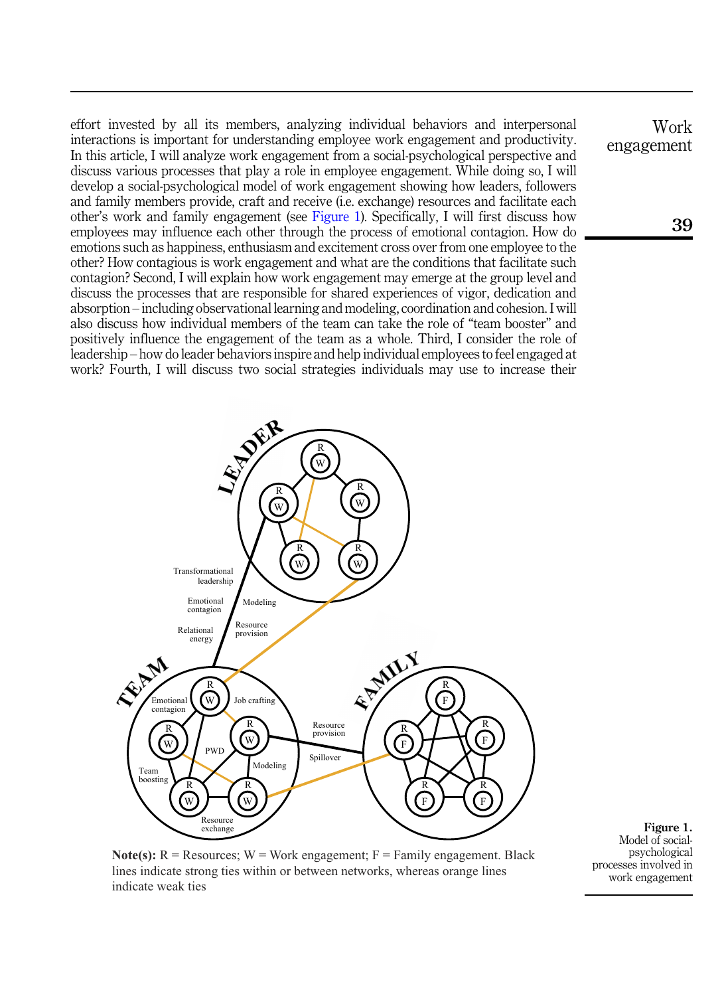<span id="page-3-0"></span>effort invested by all its members, analyzing individual behaviors and interpersonal interactions is important for understanding employee work engagement and productivity. In this article, I will analyze work engagement from a social-psychological perspective and discuss various processes that play a role in employee engagement. While doing so, I will develop a social-psychological model of work engagement showing how leaders, followers and family members provide, craft and receive (i.e. exchange) resources and facilitate each other's work and family engagement (see Figure 1). Specifically, I will first discuss how employees may influence each other through the process of emotional contagion. How do emotions such as happiness, enthusiasm and excitement cross over from one employee to the other? How contagious is work engagement and what are the conditions that facilitate such contagion? Second, I will explain how work engagement may emerge at the group level and discuss the processes that are responsible for shared experiences of vigor, dedication and absorption – including observational learning and modeling, coordination and cohesion. I will also discuss how individual members of the team can take the role of "team booster" and positively influence the engagement of the team as a whole. Third, I consider the role of leadership – how do leader behaviors inspire and help individual employees to feel engaged at work? Fourth, I will discuss two social strategies individuals may use to increase their



Figure 1. Model of socialpsychological processes involved in work engagement

**Note(s):**  $R =$  Resources;  $W =$  Work engagement;  $F =$  Family engagement. Black lines indicate strong ties within or between networks, whereas orange lines indicate weak ties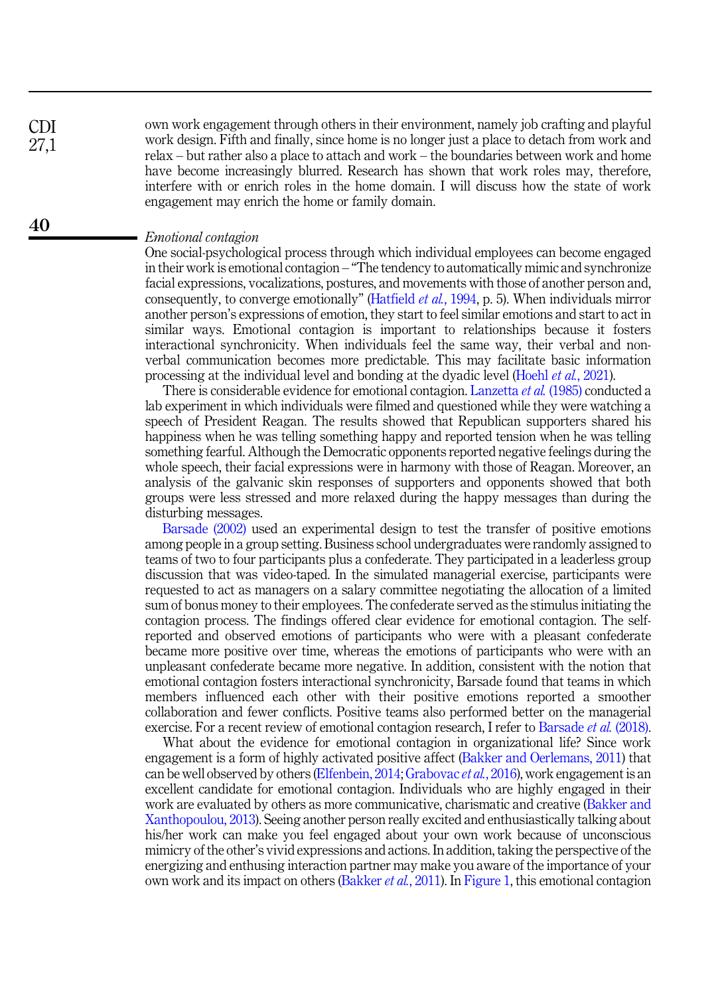own work engagement through others in their environment, namely job crafting and playful work design. Fifth and finally, since home is no longer just a place to detach from work and relax – but rather also a place to attach and work – the boundaries between work and home have become increasingly blurred. Research has shown that work roles may, therefore, interfere with or enrich roles in the home domain. I will discuss how the state of work engagement may enrich the home or family domain.

#### Emotional contagion

One social-psychological process through which individual employees can become engaged in their work is emotional contagion – "The tendency to automatically mimic and synchronize facial expressions, vocalizations, postures, and movements with those of another person and, consequently, to converge emotionally" [\(Hatfield](#page-14-5) et al., 1994, p. 5). When individuals mirror another person's expressions of emotion, they start to feel similar emotions and start to act in similar ways. Emotional contagion is important to relationships because it fosters interactional synchronicity. When individuals feel the same way, their verbal and nonverbal communication becomes more predictable. This may facilitate basic information processing at the individual level and bonding at the dyadic level (Hoehl et al.[, 2021\)](#page-14-6).

There is considerable evidence for emotional contagion. [Lanzetta](#page-15-6) *et al.* (1985) conducted a lab experiment in which individuals were filmed and questioned while they were watching a speech of President Reagan. The results showed that Republican supporters shared his happiness when he was telling something happy and reported tension when he was telling something fearful. Although the Democratic opponents reported negative feelings during the whole speech, their facial expressions were in harmony with those of Reagan. Moreover, an analysis of the galvanic skin responses of supporters and opponents showed that both groups were less stressed and more relaxed during the happy messages than during the disturbing messages.

[Barsade \(2002\)](#page-13-8) used an experimental design to test the transfer of positive emotions among people in a group setting. Business school undergraduates were randomly assigned to teams of two to four participants plus a confederate. They participated in a leaderless group discussion that was video-taped. In the simulated managerial exercise, participants were requested to act as managers on a salary committee negotiating the allocation of a limited sum of bonus money to their employees. The confederate served as the stimulus initiating the contagion process. The findings offered clear evidence for emotional contagion. The selfreported and observed emotions of participants who were with a pleasant confederate became more positive over time, whereas the emotions of participants who were with an unpleasant confederate became more negative. In addition, consistent with the notion that emotional contagion fosters interactional synchronicity, Barsade found that teams in which members influenced each other with their positive emotions reported a smoother collaboration and fewer conflicts. Positive teams also performed better on the managerial exercise. For a recent review of emotional contagion research, I refer to [Barsade](#page-13-9) *et al.* (2018).

What about the evidence for emotional contagion in organizational life? Since work engagement is a form of highly activated positive affect ([Bakker and Oerlemans, 2011](#page-13-0)) that can be well observed by others [\(Elfenbein, 2014;](#page-14-7) [Grabovac](#page-14-8) *et al.*, 2016), work engagement is an excellent candidate for emotional contagion. Individuals who are highly engaged in their work are evaluated by others as more communicative, charismatic and creative [\(Bakker and](#page-13-10) [Xanthopoulou, 2013\)](#page-13-10). Seeing another person really excited and enthusiastically talking about his/her work can make you feel engaged about your own work because of unconscious mimicry of the other's vivid expressions and actions. In addition, taking the perspective of the energizing and enthusing interaction partner may make you aware of the importance of your own work and its impact on others [\(Bakker](#page-13-11) *et al.*, 2011). In [Figure 1,](#page-3-0) this emotional contagion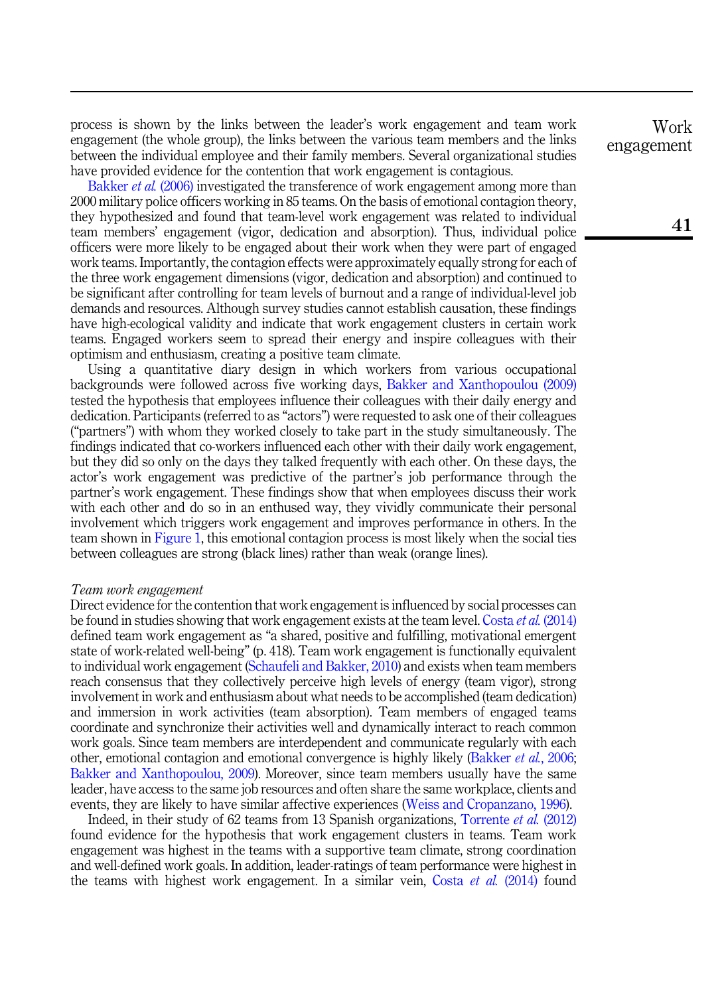process is shown by the links between the leader's work engagement and team work engagement (the whole group), the links between the various team members and the links between the individual employee and their family members. Several organizational studies have provided evidence for the contention that work engagement is contagious.

[Bakker](#page-13-12) et al. (2006) investigated the transference of work engagement among more than 2000 military police officers working in 85 teams. On the basis of emotional contagion theory, they hypothesized and found that team-level work engagement was related to individual team members' engagement (vigor, dedication and absorption). Thus, individual police officers were more likely to be engaged about their work when they were part of engaged work teams. Importantly, the contagion effects were approximately equally strong for each of the three work engagement dimensions (vigor, dedication and absorption) and continued to be significant after controlling for team levels of burnout and a range of individual-level job demands and resources. Although survey studies cannot establish causation, these findings have high-ecological validity and indicate that work engagement clusters in certain work teams. Engaged workers seem to spread their energy and inspire colleagues with their optimism and enthusiasm, creating a positive team climate.

Using a quantitative diary design in which workers from various occupational backgrounds were followed across five working days, [Bakker and Xanthopoulou \(2009\)](#page-13-2) tested the hypothesis that employees influence their colleagues with their daily energy and dedication. Participants (referred to as "actors") were requested to ask one of their colleagues ("partners") with whom they worked closely to take part in the study simultaneously. The findings indicated that co-workers influenced each other with their daily work engagement, but they did so only on the days they talked frequently with each other. On these days, the actor's work engagement was predictive of the partner's job performance through the partner's work engagement. These findings show that when employees discuss their work with each other and do so in an enthused way, they vividly communicate their personal involvement which triggers work engagement and improves performance in others. In the team shown in [Figure 1](#page-3-0), this emotional contagion process is most likely when the social ties between colleagues are strong (black lines) rather than weak (orange lines).

#### Team work engagement

Direct evidence for the contention that work engagement is influenced by social processes can be found in studies showing that work engagement exists at the team level. Costa et al. [\(2014\)](#page-14-9) defined team work engagement as "a shared, positive and fulfilling, motivational emergent state of work-related well-being" (p. 418). Team work engagement is functionally equivalent to individual work engagement ([Schaufeli and Bakker, 2010\)](#page-16-0) and exists when team members reach consensus that they collectively perceive high levels of energy (team vigor), strong involvement in work and enthusiasm about what needs to be accomplished (team dedication) and immersion in work activities (team absorption). Team members of engaged teams coordinate and synchronize their activities well and dynamically interact to reach common work goals. Since team members are interdependent and communicate regularly with each other, emotional contagion and emotional convergence is highly likely ([Bakker](#page-13-12) et al., 2006; [Bakker and Xanthopoulou, 2009\)](#page-13-2). Moreover, since team members usually have the same leader, have access to the same job resources and often share the same workplace, clients and events, they are likely to have similar affective experiences [\(Weiss and Cropanzano, 1996\)](#page-17-5).

Indeed, in their study of 62 teams from 13 Spanish organizations, [Torrente](#page-16-3) et al. (2012) found evidence for the hypothesis that work engagement clusters in teams. Team work engagement was highest in the teams with a supportive team climate, strong coordination and well-defined work goals. In addition, leader-ratings of team performance were highest in the teams with highest work engagement. In a similar vein, Costa et al.  $(2014)$  found

Work engagement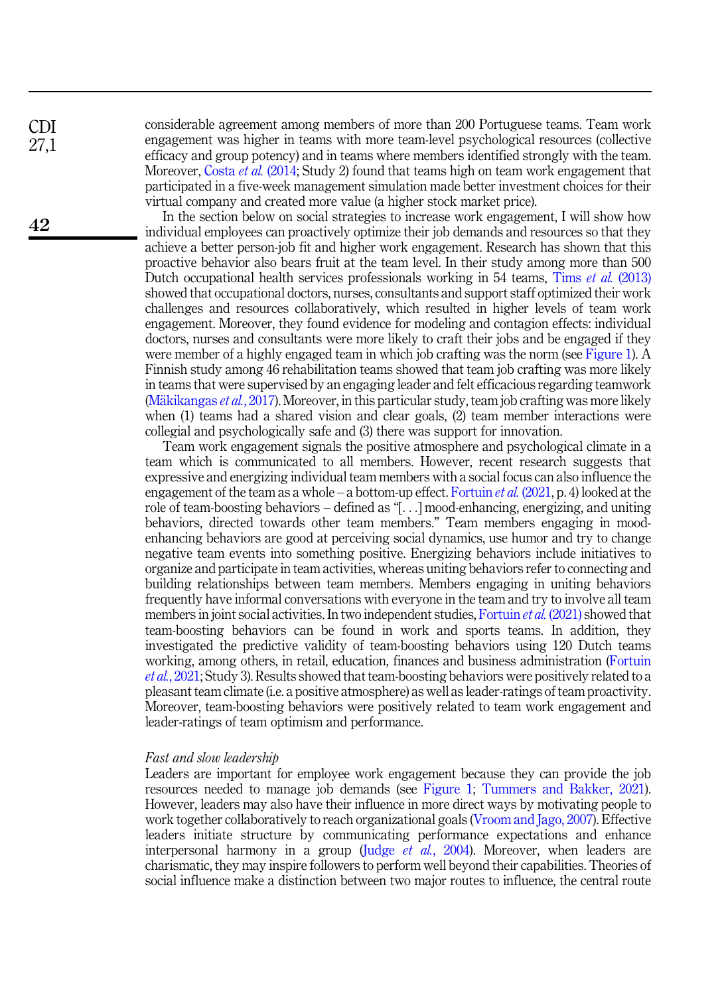CDI 27,1

42

considerable agreement among members of more than 200 Portuguese teams. Team work engagement was higher in teams with more team-level psychological resources (collective efficacy and group potency) and in teams where members identified strongly with the team. Moreover, [Costa](#page-14-9) et al. (2014; Study 2) found that teams high on team work engagement that participated in a five-week management simulation made better investment choices for their virtual company and created more value (a higher stock market price).

In the section below on social strategies to increase work engagement, I will show how individual employees can proactively optimize their job demands and resources so that they achieve a better person-job fit and higher work engagement. Research has shown that this proactive behavior also bears fruit at the team level. In their study among more than 500 Dutch occupational health services professionals working in 54 teams. Tims *et al.* [\(2013\)](#page-16-4) showed that occupational doctors, nurses, consultants and support staff optimized their work challenges and resources collaboratively, which resulted in higher levels of team work engagement. Moreover, they found evidence for modeling and contagion effects: individual doctors, nurses and consultants were more likely to craft their jobs and be engaged if they were member of a highly engaged team in which job crafting was the norm (see [Figure 1\)](#page-3-0). A Finnish study among 46 rehabilitation teams showed that team job crafting was more likely in teams that were supervised by an engaging leader and felt efficacious regarding teamwork ([M](#page-15-7)ä[kikangas](#page-15-7) *et al.*, 2017). Moreover, in this particular study, team job crafting was more likely when (1) teams had a shared vision and clear goals, (2) team member interactions were collegial and psychologically safe and (3) there was support for innovation.

Team work engagement signals the positive atmosphere and psychological climate in a team which is communicated to all members. However, recent research suggests that expressive and energizing individual team members with a social focus can also influence the engagement of the team as a whole – a bottom-up effect. [Fortuin](#page-14-10) *et al.* (2021, p. 4) looked at the role of team-boosting behaviors – defined as "[...] mood-enhancing, energizing, and uniting behaviors, directed towards other team members." Team members engaging in moodenhancing behaviors are good at perceiving social dynamics, use humor and try to change negative team events into something positive. Energizing behaviors include initiatives to organize and participate in team activities, whereas uniting behaviors refer to connecting and building relationships between team members. Members engaging in uniting behaviors frequently have informal conversations with everyone in the team and try to involve all team members in joint social activities. In two independent studies, [Fortuin](#page-14-10) et al. (2021) showed that team-boosting behaviors can be found in work and sports teams. In addition, they investigated the predictive validity of team-boosting behaviors using 120 Dutch teams working, among others, in retail, education, finances and business administration ([Fortuin](#page-14-10) et al.[, 2021;](#page-14-10) Study 3). Results showed that team-boosting behaviors were positively related to a pleasant team climate (i.e. a positive atmosphere) as well as leader-ratings of team proactivity. Moreover, team-boosting behaviors were positively related to team work engagement and leader-ratings of team optimism and performance.

#### Fast and slow leadership

Leaders are important for employee work engagement because they can provide the job resources needed to manage job demands (see [Figure 1](#page-3-0); [Tummers and Bakker, 2021\)](#page-16-5). However, leaders may also have their influence in more direct ways by motivating people to work together collaboratively to reach organizational goals [\(Vroom and Jago, 2007](#page-16-6)). Effective leaders initiate structure by communicating performance expectations and enhance interpersonal harmony in a group (Judge *et al.*[, 2004\)](#page-15-8). Moreover, when leaders are charismatic, they may inspire followers to perform well beyond their capabilities. Theories of social influence make a distinction between two major routes to influence, the central route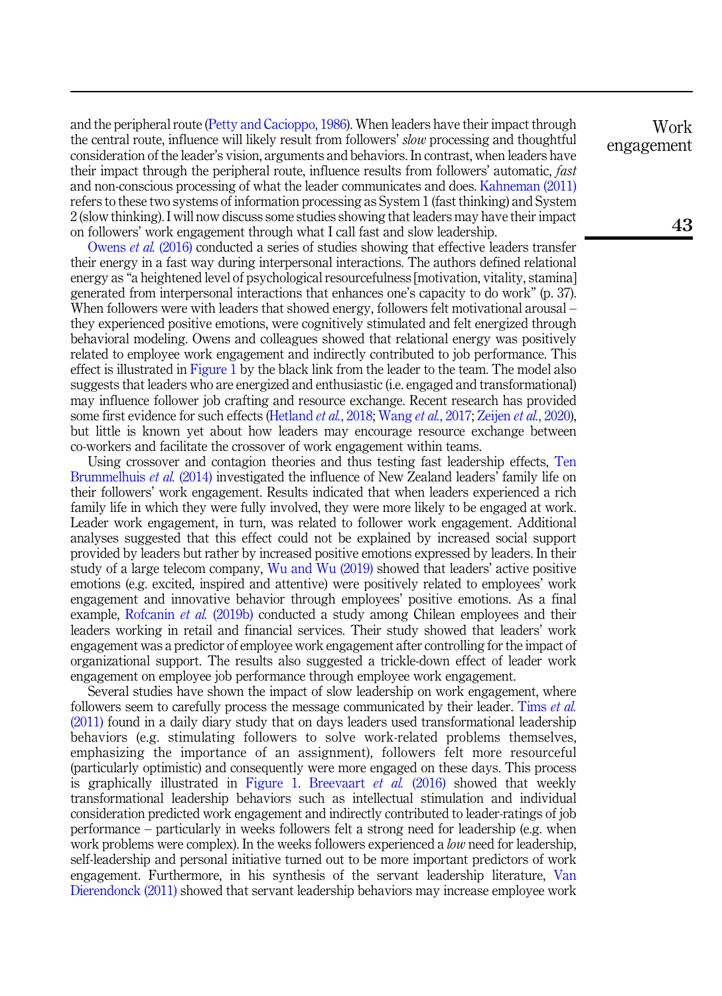and the peripheral route [\(Petty and Cacioppo, 1986\)](#page-15-9). When leaders have their impact through the central route, influence will likely result from followers' slow processing and thoughtful consideration of the leader's vision, arguments and behaviors. In contrast, when leaders have their impact through the peripheral route, influence results from followers' automatic, fast and non-conscious processing of what the leader communicates and does. [Kahneman \(2011\)](#page-15-10) refers to these two systems of information processing as System 1 (fast thinking) and System 2 (slow thinking). I will now discuss some studies showing that leaders may have their impact on followers' work engagement through what I call fast and slow leadership.

[Owens](#page-15-11) et al. (2016) conducted a series of studies showing that effective leaders transfer their energy in a fast way during interpersonal interactions. The authors defined relational energy as "a heightened level of psychological resourcefulness [motivation, vitality, stamina] generated from interpersonal interactions that enhances one's capacity to do work" (p. 37). When followers were with leaders that showed energy, followers felt motivational arousal – they experienced positive emotions, were cognitively stimulated and felt energized through behavioral modeling. Owens and colleagues showed that relational energy was positively related to employee work engagement and indirectly contributed to job performance. This effect is illustrated in [Figure 1](#page-3-0) by the black link from the leader to the team. The model also suggests that leaders who are energized and enthusiastic (i.e. engaged and transformational) may influence follower job crafting and resource exchange. Recent research has provided some first evidence for such effects [\(Hetland](#page-14-11) *et al.*, 2018; [Wang](#page-16-7) *et al.*, 2017; [Zeijen](#page-17-6) *et al.*, 2020), but little is known yet about how leaders may encourage resource exchange between co-workers and facilitate the crossover of work engagement within teams.

Using crossover and contagion theories and thus testing fast leadership effects, [Ten](#page-16-8) [Brummelhuis](#page-16-8) *et al.* (2014) investigated the influence of New Zealand leaders' family life on their followers' work engagement. Results indicated that when leaders experienced a rich family life in which they were fully involved, they were more likely to be engaged at work. Leader work engagement, in turn, was related to follower work engagement. Additional analyses suggested that this effect could not be explained by increased social support provided by leaders but rather by increased positive emotions expressed by leaders. In their study of a large telecom company, [Wu and Wu \(2019\)](#page-17-7) showed that leaders' active positive emotions (e.g. excited, inspired and attentive) were positively related to employees' work engagement and innovative behavior through employees' positive emotions. As a final example, [Rofcanin](#page-15-12) *et al.* (2019b) conducted a study among Chilean employees and their leaders working in retail and financial services. Their study showed that leaders' work engagement was a predictor of employee work engagement after controlling for the impact of organizational support. The results also suggested a trickle-down effect of leader work engagement on employee job performance through employee work engagement.

Several studies have shown the impact of slow leadership on work engagement, where followers seem to carefully process the message communicated by their leader. [Tims](#page-16-9) *et al.* [\(2011\)](#page-16-9) found in a daily diary study that on days leaders used transformational leadership behaviors (e.g. stimulating followers to solve work-related problems themselves, emphasizing the importance of an assignment), followers felt more resourceful (particularly optimistic) and consequently were more engaged on these days. This process is graphically illustrated in [Figure 1.](#page-3-0) [Breevaart](#page-14-12) *et al.* (2016) showed that weekly transformational leadership behaviors such as intellectual stimulation and individual consideration predicted work engagement and indirectly contributed to leader-ratings of job performance – particularly in weeks followers felt a strong need for leadership (e.g. when work problems were complex). In the weeks followers experienced a *low* need for leadership, self-leadership and personal initiative turned out to be more important predictors of work engagement. Furthermore, in his synthesis of the servant leadership literature, [Van](#page-16-10) [Dierendonck \(2011\)](#page-16-10) showed that servant leadership behaviors may increase employee work

Work engagement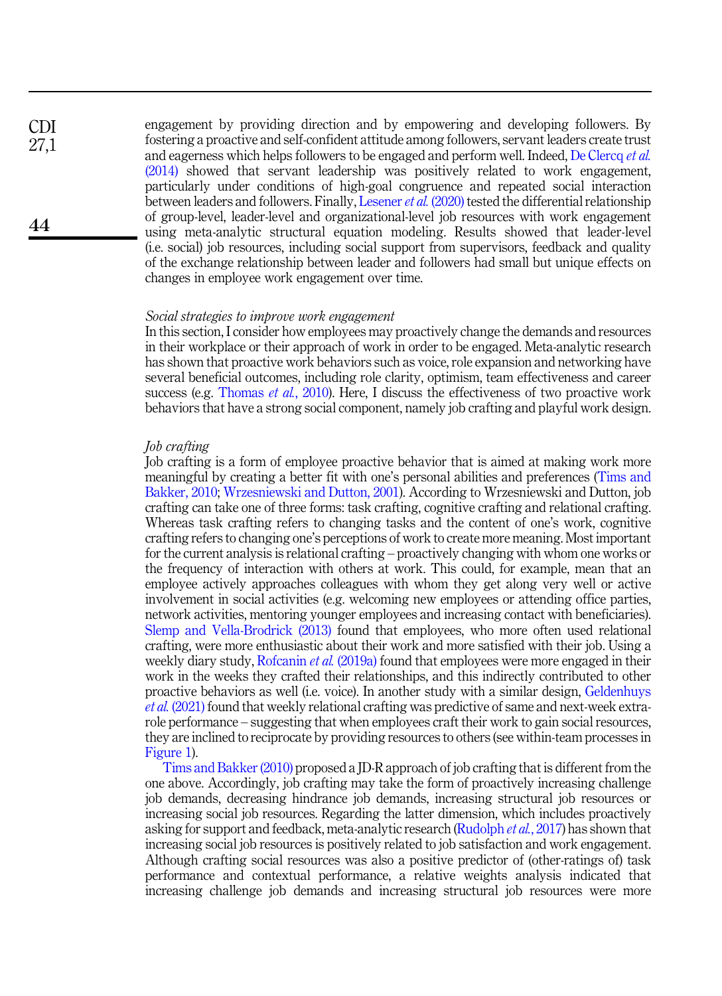engagement by providing direction and by empowering and developing followers. By fostering a proactive and self-confident attitude among followers, servant leaders create trust and eagerness which helps followers to be engaged and perform well. Indeed, [De Clercq](#page-14-13) et al. [\(2014\)](#page-14-13) showed that servant leadership was positively related to work engagement, particularly under conditions of high-goal congruence and repeated social interaction between leaders and followers. Finally, [Lesener](#page-15-13) *et al.* (2020) tested the differential relationship of group-level, leader-level and organizational-level job resources with work engagement using meta-analytic structural equation modeling. Results showed that leader-level (i.e. social) job resources, including social support from supervisors, feedback and quality of the exchange relationship between leader and followers had small but unique effects on changes in employee work engagement over time.

## Social strategies to improve work engagement

In this section, I consider how employees may proactively change the demands and resources in their workplace or their approach of work in order to be engaged. Meta-analytic research has shown that proactive work behaviors such as voice, role expansion and networking have several beneficial outcomes, including role clarity, optimism, team effectiveness and career success (e.g. [Thomas](#page-16-11) *et al.*, 2010). Here, I discuss the effectiveness of two proactive work behaviors that have a strong social component, namely job crafting and playful work design.

#### Job crafting

Job crafting is a form of employee proactive behavior that is aimed at making work more meaningful by creating a better fit with one's personal abilities and preferences [\(Tims and](#page-16-1) [Bakker, 2010;](#page-16-1) [Wrzesniewski and Dutton, 2001\)](#page-17-8). According to Wrzesniewski and Dutton, job crafting can take one of three forms: task crafting, cognitive crafting and relational crafting. Whereas task crafting refers to changing tasks and the content of one's work, cognitive crafting refers to changing one's perceptions of work to create more meaning. Most important for the current analysis is relational crafting – proactively changing with whom one works or the frequency of interaction with others at work. This could, for example, mean that an employee actively approaches colleagues with whom they get along very well or active involvement in social activities (e.g. welcoming new employees or attending office parties, network activities, mentoring younger employees and increasing contact with beneficiaries). [Slemp and Vella-Brodrick \(2013\)](#page-16-12) found that employees, who more often used relational crafting, were more enthusiastic about their work and more satisfied with their job. Using a weekly diary study, [Rofcanin](#page-15-14) et al. (2019a) found that employees were more engaged in their work in the weeks they crafted their relationships, and this indirectly contributed to other proactive behaviors as well (i.e. voice). In another study with a similar design, [Geldenhuys](#page-14-14) et al. [\(2021\)](#page-14-14) found that weekly relational crafting was predictive of same and next-week extrarole performance – suggesting that when employees craft their work to gain social resources, they are inclined to reciprocate by providing resources to others (see within-team processes in [Figure 1](#page-3-0)).

[Tims and Bakker \(2010\)](#page-16-1) proposed a JD-R approach of job crafting that is different from the one above. Accordingly, job crafting may take the form of proactively increasing challenge job demands, decreasing hindrance job demands, increasing structural job resources or increasing social job resources. Regarding the latter dimension, which includes proactively asking for support and feedback, meta-analytic research [\(Rudolph](#page-15-15) *et al.*, 2017) has shown that increasing social job resources is positively related to job satisfaction and work engagement. Although crafting social resources was also a positive predictor of (other-ratings of) task performance and contextual performance, a relative weights analysis indicated that increasing challenge job demands and increasing structural job resources were more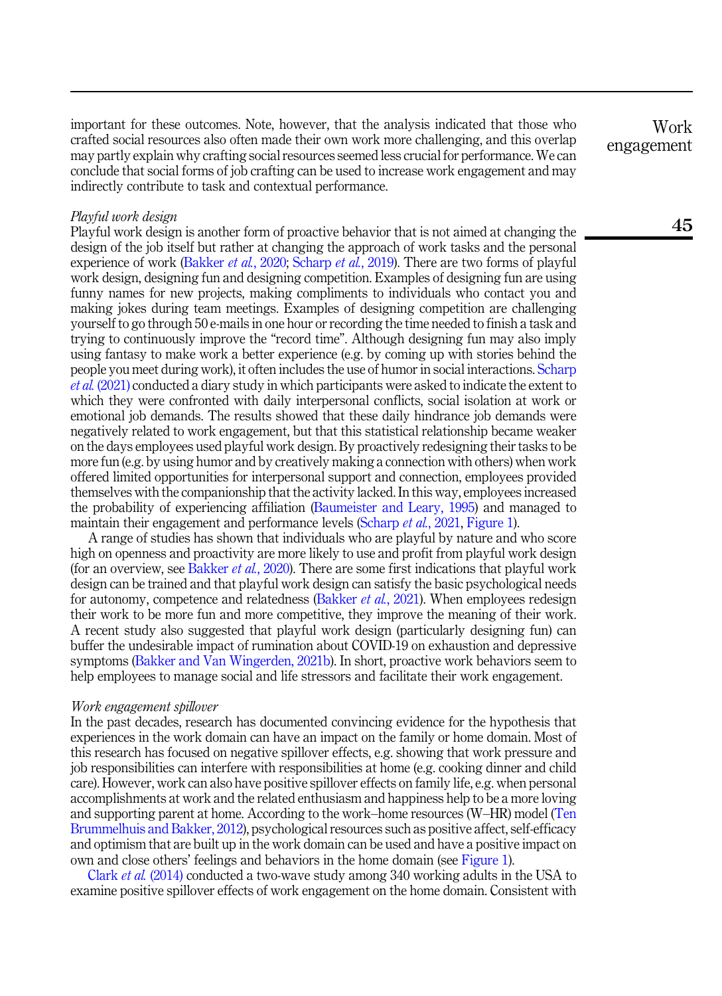important for these outcomes. Note, however, that the analysis indicated that those who crafted social resources also often made their own work more challenging, and this overlap may partly explain why crafting social resources seemed less crucial for performance. We can conclude that social forms of job crafting can be used to increase work engagement and may indirectly contribute to task and contextual performance.

## Playful work design

Playful work design is another form of proactive behavior that is not aimed at changing the design of the job itself but rather at changing the approach of work tasks and the personal experience of work ([Bakker](#page-13-13) *et al.*, 2020; [Scharp](#page-16-2) *et al.*, 2019). There are two forms of playful work design, designing fun and designing competition. Examples of designing fun are using funny names for new projects, making compliments to individuals who contact you and making jokes during team meetings. Examples of designing competition are challenging yourself to go through 50 e-mails in one hour or recording the time needed to finish a task and trying to continuously improve the "record time". Although designing fun may also imply using fantasy to make work a better experience (e.g. by coming up with stories behind the people you meet during work), it often includes the use of humor in social interactions. [Scharp](#page-16-13) et al. [\(2021\)](#page-16-13) conducted a diary study in which participants were asked to indicate the extent to which they were confronted with daily interpersonal conflicts, social isolation at work or emotional job demands. The results showed that these daily hindrance job demands were negatively related to work engagement, but that this statistical relationship became weaker on the days employees used playful work design. By proactively redesigning their tasks to be more fun (e.g. by using humor and by creatively making a connection with others) when work offered limited opportunities for interpersonal support and connection, employees provided themselves with the companionship that the activity lacked. In this way, employees increased the probability of experiencing affiliation ([Baumeister and Leary, 1995\)](#page-13-14) and managed to maintain their engagement and performance levels [\(Scharp](#page-16-13) et al., 2021, [Figure 1](#page-3-0)).

A range of studies has shown that individuals who are playful by nature and who score high on openness and proactivity are more likely to use and profit from playful work design (for an overview, see [Bakker](#page-13-13) et al., 2020). There are some first indications that playful work design can be trained and that playful work design can satisfy the basic psychological needs for autonomy, competence and relatedness ([Bakker](#page-13-15) *et al.*, 2021). When employees redesign their work to be more fun and more competitive, they improve the meaning of their work. A recent study also suggested that playful work design (particularly designing fun) can buffer the undesirable impact of rumination about COVID-19 on exhaustion and depressive symptoms ([Bakker and Van Wingerden, 2021b\)](#page-13-16). In short, proactive work behaviors seem to help employees to manage social and life stressors and facilitate their work engagement.

#### Work engagement spillover

In the past decades, research has documented convincing evidence for the hypothesis that experiences in the work domain can have an impact on the family or home domain. Most of this research has focused on negative spillover effects, e.g. showing that work pressure and job responsibilities can interfere with responsibilities at home (e.g. cooking dinner and child care). However, work can also have positive spillover effects on family life, e.g. when personal accomplishments at work and the related enthusiasm and happiness help to be a more loving and supporting parent at home. According to the work–home resources (W–HR) model ([Ten](#page-16-14) [Brummelhuis and Bakker, 2012](#page-16-14)), psychological resources such as positive affect, self-efficacy and optimism that are built up in the work domain can be used and have a positive impact on own and close others' feelings and behaviors in the home domain (see [Figure 1\)](#page-3-0).

Clark et al. [\(2014\)](#page-14-15) conducted a two-wave study among 340 working adults in the USA to examine positive spillover effects of work engagement on the home domain. Consistent with

Work engagement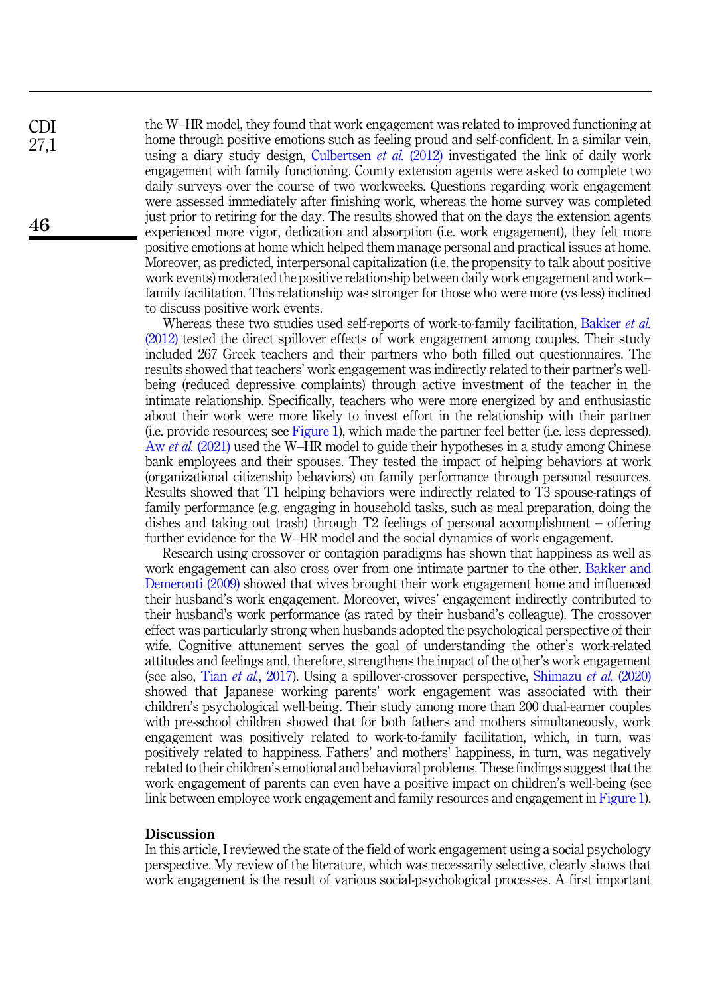the W–HR model, they found that work engagement was related to improved functioning at home through positive emotions such as feeling proud and self-confident. In a similar vein, using a diary study design, [Culbertsen](#page-14-16) et al. (2012) investigated the link of daily work engagement with family functioning. County extension agents were asked to complete two daily surveys over the course of two workweeks. Questions regarding work engagement were assessed immediately after finishing work, whereas the home survey was completed just prior to retiring for the day. The results showed that on the days the extension agents experienced more vigor, dedication and absorption (i.e. work engagement), they felt more positive emotions at home which helped them manage personal and practical issues at home. Moreover, as predicted, interpersonal capitalization (i.e. the propensity to talk about positive work events) moderated the positive relationship between daily work engagement and work– family facilitation. This relationship was stronger for those who were more (vs less) inclined to discuss positive work events.

Whereas these two studies used self-reports of work-to-family facilitation, [Bakker](#page-13-17) *et al.* [\(2012\)](#page-13-17) tested the direct spillover effects of work engagement among couples. Their study included 267 Greek teachers and their partners who both filled out questionnaires. The results showed that teachers' work engagement was indirectly related to their partner's wellbeing (reduced depressive complaints) through active investment of the teacher in the intimate relationship. Specifically, teachers who were more energized by and enthusiastic about their work were more likely to invest effort in the relationship with their partner (i.e. provide resources; see [Figure 1\)](#page-3-0), which made the partner feel better (i.e. less depressed). Aw et al. [\(2021\)](#page-12-3) used the W–HR model to guide their hypotheses in a study among Chinese bank employees and their spouses. They tested the impact of helping behaviors at work (organizational citizenship behaviors) on family performance through personal resources. Results showed that T1 helping behaviors were indirectly related to T3 spouse-ratings of family performance (e.g. engaging in household tasks, such as meal preparation, doing the dishes and taking out trash) through T2 feelings of personal accomplishment – offering further evidence for the W–HR model and the social dynamics of work engagement.

Research using crossover or contagion paradigms has shown that happiness as well as work engagement can also cross over from one intimate partner to the other. [Bakker and](#page-12-4) [Demerouti \(2009\)](#page-12-4) showed that wives brought their work engagement home and influenced their husband's work engagement. Moreover, wives' engagement indirectly contributed to their husband's work performance (as rated by their husband's colleague). The crossover effect was particularly strong when husbands adopted the psychological perspective of their wife. Cognitive attunement serves the goal of understanding the other's work-related attitudes and feelings and, therefore, strengthens the impact of the other's work engagement (see also, Tian et al.[, 2017\)](#page-16-15). Using a spillover-crossover perspective, [Shimazu](#page-16-16) et al. (2020) showed that Japanese working parents' work engagement was associated with their children's psychological well-being. Their study among more than 200 dual-earner couples with pre-school children showed that for both fathers and mothers simultaneously, work engagement was positively related to work-to-family facilitation, which, in turn, was positively related to happiness. Fathers' and mothers' happiness, in turn, was negatively related to their children's emotional and behavioral problems. These findings suggest that the work engagement of parents can even have a positive impact on children's well-being (see link between employee work engagement and family resources and engagement in [Figure 1\)](#page-3-0).

## **Discussion**

In this article, I reviewed the state of the field of work engagement using a social psychology perspective. My review of the literature, which was necessarily selective, clearly shows that work engagement is the result of various social-psychological processes. A first important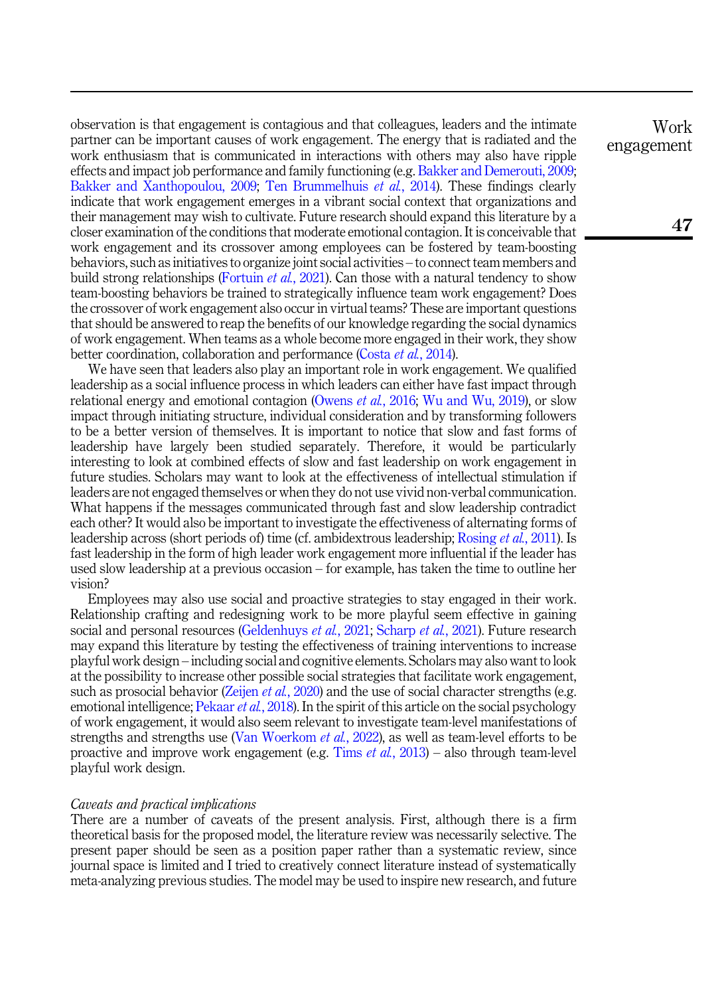observation is that engagement is contagious and that colleagues, leaders and the intimate partner can be important causes of work engagement. The energy that is radiated and the work enthusiasm that is communicated in interactions with others may also have ripple effects and impact job performance and family functioning (e.g. [Bakker and Demerouti, 2009](#page-12-4); [Bakker and Xanthopoulou, 2009;](#page-13-2) [Ten Brummelhuis](#page-16-8) et al., 2014). These findings clearly indicate that work engagement emerges in a vibrant social context that organizations and their management may wish to cultivate. Future research should expand this literature by a closer examination of the conditions that moderate emotional contagion. It is conceivable that work engagement and its crossover among employees can be fostered by team-boosting behaviors, such as initiatives to organize joint social activities – to connect team members and build strong relationships ([Fortuin](#page-14-10) *et al.*, 2021). Can those with a natural tendency to show team-boosting behaviors be trained to strategically influence team work engagement? Does the crossover of work engagement also occur in virtual teams? These are important questions that should be answered to reap the benefits of our knowledge regarding the social dynamics of work engagement. When teams as a whole become more engaged in their work, they show better coordination, collaboration and performance (Costa *et al.*[, 2014\)](#page-14-9).

We have seen that leaders also play an important role in work engagement. We qualified leadership as a social influence process in which leaders can either have fast impact through relational energy and emotional contagion [\(Owens](#page-15-11) *et al.*, 2016; [Wu and Wu, 2019\)](#page-17-7), or slow impact through initiating structure, individual consideration and by transforming followers to be a better version of themselves. It is important to notice that slow and fast forms of leadership have largely been studied separately. Therefore, it would be particularly interesting to look at combined effects of slow and fast leadership on work engagement in future studies. Scholars may want to look at the effectiveness of intellectual stimulation if leaders are not engaged themselves or when they do not use vivid non-verbal communication. What happens if the messages communicated through fast and slow leadership contradict each other? It would also be important to investigate the effectiveness of alternating forms of leadership across (short periods of) time (cf. ambidextrous leadership; [Rosing](#page-15-16) et al., 2011). Is fast leadership in the form of high leader work engagement more influential if the leader has used slow leadership at a previous occasion – for example, has taken the time to outline her vision?

Employees may also use social and proactive strategies to stay engaged in their work. Relationship crafting and redesigning work to be more playful seem effective in gaining social and personal resources [\(Geldenhuys](#page-14-14) et al., 2021; [Scharp](#page-16-13) et al., 2021). Future research may expand this literature by testing the effectiveness of training interventions to increase playful work design – including social and cognitive elements. Scholars may also want to look at the possibility to increase other possible social strategies that facilitate work engagement, such as prosocial behavior ([Zeijen](#page-17-6) *et al.*, 2020) and the use of social character strengths (e.g. emotional intelligence; [Pekaar](#page-15-17) *et al.*, 2018). In the spirit of this article on the social psychology of work engagement, it would also seem relevant to investigate team-level manifestations of strengths and strengths use ([Van Woerkom](#page-16-17) *et al.*, 2022), as well as team-level efforts to be proactive and improve work engagement (e.g. Tims *et al.*[, 2013\)](#page-16-4) – also through team-level playful work design.

## Caveats and practical implications

There are a number of caveats of the present analysis. First, although there is a firm theoretical basis for the proposed model, the literature review was necessarily selective. The present paper should be seen as a position paper rather than a systematic review, since journal space is limited and I tried to creatively connect literature instead of systematically meta-analyzing previous studies. The model may be used to inspire new research, and future

Work engagement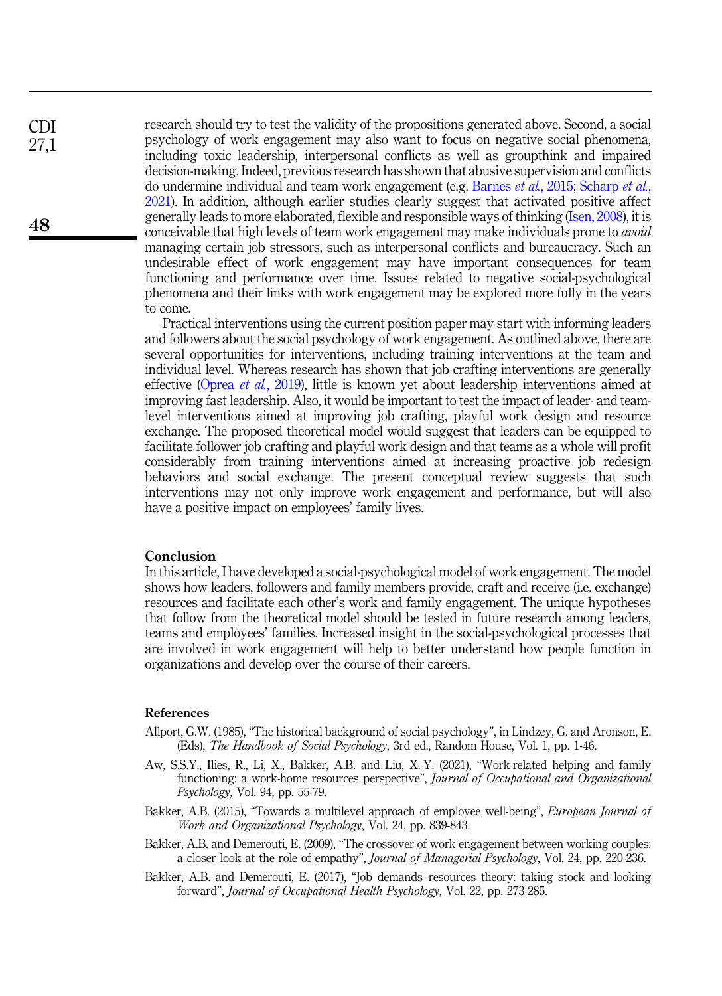research should try to test the validity of the propositions generated above. Second, a social psychology of work engagement may also want to focus on negative social phenomena, including toxic leadership, interpersonal conflicts as well as groupthink and impaired decision-making. Indeed, previous research has shown that abusive supervision and conflicts do undermine individual and team work engagement (e.g. [Barnes](#page-13-18) et al., 2015; [Scharp](#page-16-13) et al., [2021\)](#page-16-13). In addition, although earlier studies clearly suggest that activated positive affect generally leads to more elaborated, flexible and responsible ways of thinking ([Isen, 2008\)](#page-14-17), it is conceivable that high levels of team work engagement may make individuals prone to avoid managing certain job stressors, such as interpersonal conflicts and bureaucracy. Such an undesirable effect of work engagement may have important consequences for team functioning and performance over time. Issues related to negative social-psychological phenomena and their links with work engagement may be explored more fully in the years to come.

Practical interventions using the current position paper may start with informing leaders and followers about the social psychology of work engagement. As outlined above, there are several opportunities for interventions, including training interventions at the team and individual level. Whereas research has shown that job crafting interventions are generally effective (Oprea et al.[, 2019\)](#page-15-18), little is known yet about leadership interventions aimed at improving fast leadership. Also, it would be important to test the impact of leader- and teamlevel interventions aimed at improving job crafting, playful work design and resource exchange. The proposed theoretical model would suggest that leaders can be equipped to facilitate follower job crafting and playful work design and that teams as a whole will profit considerably from training interventions aimed at increasing proactive job redesign behaviors and social exchange. The present conceptual review suggests that such interventions may not only improve work engagement and performance, but will also have a positive impact on employees' family lives.

#### Conclusion

In this article, I have developed a social-psychological model of work engagement. The model shows how leaders, followers and family members provide, craft and receive (i.e. exchange) resources and facilitate each other's work and family engagement. The unique hypotheses that follow from the theoretical model should be tested in future research among leaders, teams and employees' families. Increased insight in the social-psychological processes that are involved in work engagement will help to better understand how people function in organizations and develop over the course of their careers.

#### <span id="page-12-2"></span>References

- <span id="page-12-3"></span>Allport, G.W. (1985), "The historical background of social psychology", in Lindzey, G. and Aronson, E. (Eds), The Handbook of Social Psychology, 3rd ed., Random House, Vol. 1, pp. 1-46.
- Aw, S.S.Y., Ilies, R., Li, X., Bakker, A.B. and Liu, X.-Y. (2021), "Work-related helping and family functioning: a work-home resources perspective", Journal of Occupational and Organizational Psychology, Vol. 94, pp. 55-79.
- <span id="page-12-4"></span><span id="page-12-1"></span>Bakker, A.B. (2015), "Towards a multilevel approach of employee well-being", *European Journal of* Work and Organizational Psychology, Vol. 24, pp. 839-843.
- <span id="page-12-0"></span>Bakker, A.B. and Demerouti, E. (2009), "The crossover of work engagement between working couples: a closer look at the role of empathy", Journal of Managerial Psychology, Vol. 24, pp. 220-236.
- Bakker, A.B. and Demerouti, E. (2017), "Job demands–resources theory: taking stock and looking forward", Journal of Occupational Health Psychology, Vol. 22, pp. 273-285.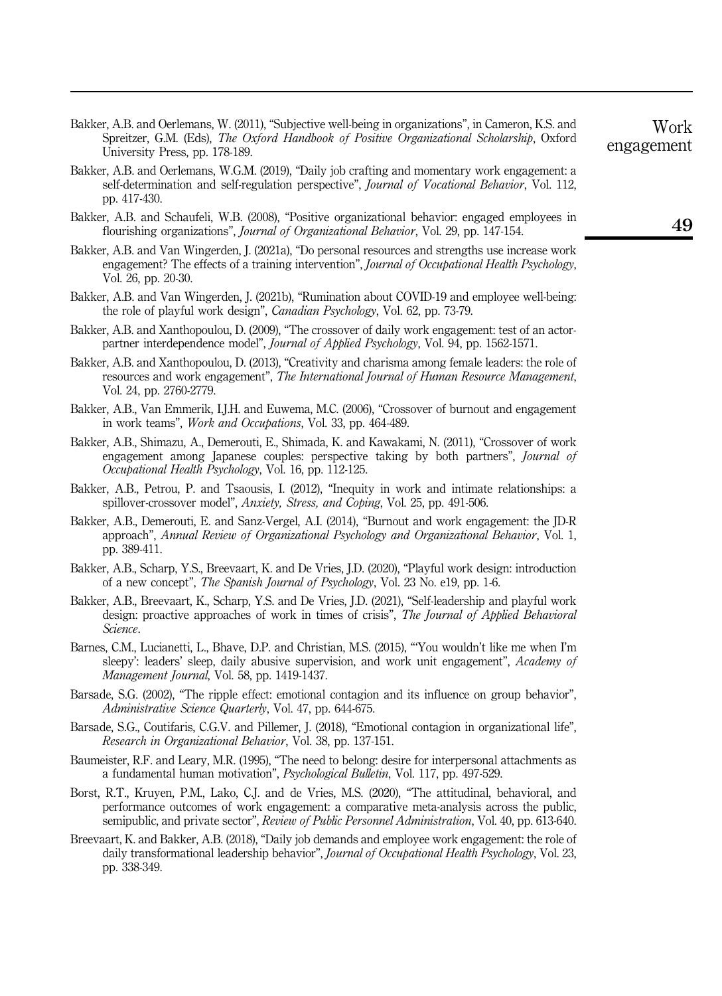- <span id="page-13-0"></span>Bakker, A.B. and Oerlemans, W. (2011), "Subjective well-being in organizations", in Cameron, K.S. and Spreitzer, G.M. (Eds), *The Oxford Handbook of Positive Organizational Scholarship*, Oxford University Press, pp. 178-189.
- <span id="page-13-4"></span>Bakker, A.B. and Oerlemans, W.G.M. (2019), "Daily job crafting and momentary work engagement: a self-determination and self-regulation perspective", Journal of Vocational Behavior, Vol. 112, pp. 417-430.
- <span id="page-13-1"></span>Bakker, A.B. and Schaufeli, W.B. (2008), "Positive organizational behavior: engaged employees in flourishing organizations", Journal of Organizational Behavior, Vol. 29, pp. 147-154.
- <span id="page-13-7"></span>Bakker, A.B. and Van Wingerden, J. (2021a), "Do personal resources and strengths use increase work engagement? The effects of a training intervention", Journal of Occupational Health Psychology, Vol. 26, pp. 20-30.
- <span id="page-13-16"></span>Bakker, A.B. and Van Wingerden, J. (2021b), "Rumination about COVID-19 and employee well-being: the role of playful work design", Canadian Psychology, Vol. 62, pp. 73-79.
- <span id="page-13-2"></span>Bakker, A.B. and Xanthopoulou, D. (2009), "The crossover of daily work engagement: test of an actorpartner interdependence model", *Journal of Applied Psychology*, Vol. 94, pp. 1562-1571.
- <span id="page-13-10"></span>Bakker, A.B. and Xanthopoulou, D. (2013), "Creativity and charisma among female leaders: the role of resources and work engagement", The International Journal of Human Resource Management, Vol. 24, pp. 2760-2779.
- <span id="page-13-12"></span>Bakker, A.B., Van Emmerik, I.J.H. and Euwema, M.C. (2006), "Crossover of burnout and engagement in work teams", Work and Occupations, Vol. 33, pp. 464-489.
- <span id="page-13-11"></span>Bakker, A.B., Shimazu, A., Demerouti, E., Shimada, K. and Kawakami, N. (2011), "Crossover of work engagement among Japanese couples: perspective taking by both partners", Journal of Occupational Health Psychology, Vol. 16, pp. 112-125.
- <span id="page-13-17"></span>Bakker, A.B., Petrou, P. and Tsaousis, I. (2012), "Inequity in work and intimate relationships: a spillover-crossover model", Anxiety, Stress, and Coping, Vol. 25, pp. 491-506.
- <span id="page-13-6"></span>Bakker, A.B., Demerouti, E. and Sanz-Vergel, A.I. (2014), "Burnout and work engagement: the JD-R approach", Annual Review of Organizational Psychology and Organizational Behavior, Vol. 1, pp. 389-411.
- <span id="page-13-13"></span>Bakker, A.B., Scharp, Y.S., Breevaart, K. and De Vries, J.D. (2020), "Playful work design: introduction of a new concept", The Spanish Journal of Psychology, Vol. 23 No. e19, pp. 1-6.
- <span id="page-13-15"></span>Bakker, A.B., Breevaart, K., Scharp, Y.S. and De Vries, J.D. (2021), "Self-leadership and playful work design: proactive approaches of work in times of crisis", The Journal of Applied Behavioral Science.
- <span id="page-13-18"></span>Barnes, C.M., Lucianetti, L., Bhave, D.P. and Christian, M.S. (2015), "'You wouldn't like me when I'm sleepy': leaders' sleep, daily abusive supervision, and work unit engagement", Academy of Management Journal, Vol. 58, pp. 1419-1437.
- <span id="page-13-8"></span>Barsade, S.G. (2002), "The ripple effect: emotional contagion and its influence on group behavior", Administrative Science Quarterly, Vol. 47, pp. 644-675.
- <span id="page-13-9"></span>Barsade, S.G., Coutifaris, C.G.V. and Pillemer, J. (2018), "Emotional contagion in organizational life", Research in Organizational Behavior, Vol. 38, pp. 137-151.
- <span id="page-13-14"></span>Baumeister, R.F. and Leary, M.R. (1995), "The need to belong: desire for interpersonal attachments as a fundamental human motivation", Psychological Bulletin, Vol. 117, pp. 497-529.
- <span id="page-13-3"></span>Borst, R.T., Kruyen, P.M., Lako, C.J. and de Vries, M.S. (2020), "The attitudinal, behavioral, and performance outcomes of work engagement: a comparative meta-analysis across the public, semipublic, and private sector", Review of Public Personnel Administration, Vol. 40, pp. 613-640.
- <span id="page-13-5"></span>Breevaart, K. and Bakker, A.B. (2018), "Daily job demands and employee work engagement: the role of daily transformational leadership behavior", *Journal of Occupational Health Psychology*, Vol. 23, pp. 338-349.

Work

engagement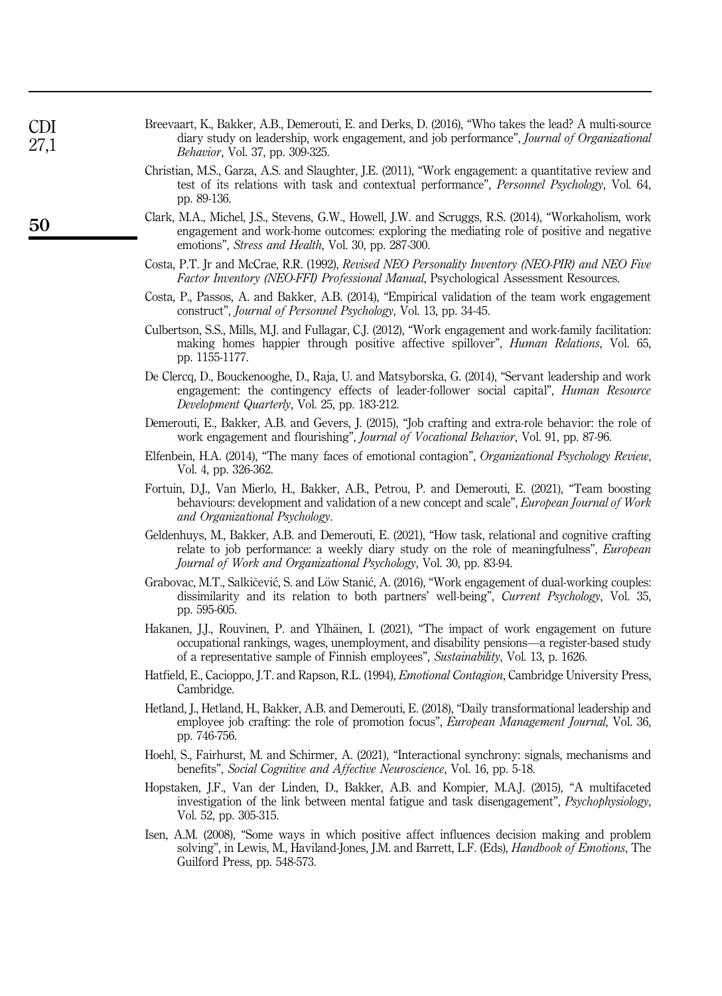<span id="page-14-17"></span><span id="page-14-11"></span><span id="page-14-6"></span><span id="page-14-5"></span><span id="page-14-0"></span>

| 27,1 | diary study on leadership, work engagement, and job performance", <i>Journal of Organizational</i><br><i>Behavior</i> , Vol. 37, pp. 309-325.                                                                                                                                      |
|------|------------------------------------------------------------------------------------------------------------------------------------------------------------------------------------------------------------------------------------------------------------------------------------|
|      | Christian, M.S., Garza, A.S. and Slaughter, J.E. (2011), "Work engagement: a quantitative review and<br>test of its relations with task and contextual performance", Personnel Psychology, Vol. 64,<br>pp. 89-136.                                                                 |
| 50   | Clark, M.A., Michel, J.S., Stevens, G.W., Howell, J.W. and Scruggs, R.S. (2014), "Workaholism, work<br>engagement and work-home outcomes: exploring the mediating role of positive and negative<br>emotions", Stress and Health, Vol. 30, pp. 287-300.                             |
|      | Costa, P.T. Jr and McCrae, R.R. (1992), <i>Revised NEO Personality Inventory (NEO-PIR) and NEO Five</i><br><i>Factor Inventory (NEO-FFI) Professional Manual</i> , Psychological Assessment Resources.                                                                             |
|      | Costa, P., Passos, A. and Bakker, A.B. (2014), "Empirical validation of the team work engagement<br>construct", Journal of Personnel Psychology, Vol. 13, pp. 34-45.                                                                                                               |
|      | Culbertson, S.S., Mills, M.J. and Fullagar, C.J. (2012), "Work engagement and work-family facilitation:<br>making homes happier through positive affective spillover", Human Relations, Vol. 65,<br>pp. 1155-1177.                                                                 |
|      | De Clercq, D., Bouckenooghe, D., Raja, U. and Matsyborska, G. (2014), "Servant leadership and work<br>engagement: the contingency effects of leader-follower social capital", <i>Human Resource</i><br>Development Quarterly, Vol. 25, pp. 183-212.                                |
|      | Demerouti, E., Bakker, A.B. and Gevers, J. (2015), "Job crafting and extra-role behavior: the role of<br>work engagement and flourishing", Journal of Vocational Behavior, Vol. 91, pp. 87-96.                                                                                     |
|      | Elfenbein, H.A. (2014), "The many faces of emotional contagion", Organizational Psychology Review,<br>Vol. 4, pp. 326-362.                                                                                                                                                         |
|      | Fortuin, D.J., Van Mierlo, H., Bakker, A.B., Petrou, P. and Demerouti, E. (2021), "Team boosting<br>behaviours: development and validation of a new concept and scale", <i>European Journal of Work</i><br>and Organizational Psychology.                                          |
|      | Geldenhuys, M., Bakker, A.B. and Demerouti, E. (2021), "How task, relational and cognitive crafting<br>relate to job performance: a weekly diary study on the role of meaningfulness", <i>European</i><br>Journal of Work and Organizational Psychology, Vol. 30, pp. 83-94.       |
|      | Grabovac, M.T., Salkičević, S. and Löw Stanić, A. (2016), "Work engagement of dual-working couples:<br>dissimilarity and its relation to both partners' well-being", <i>Current Psychology</i> , Vol. 35,<br>pp. 595-605.                                                          |
|      | Hakanen, J.J., Rouvinen, P. and Ylhäinen, I. (2021), "The impact of work engagement on future<br>occupational rankings, wages, unemployment, and disability pensions—a register-based study<br>of a representative sample of Finnish employees", Sustainability, Vol. 13, p. 1626. |
|      | Hatfield, E., Cacioppo, J.T. and Rapson, R.L. (1994), <i>Emotional Contagion</i> , Cambridge University Press,<br>Cambridge.                                                                                                                                                       |
|      | Hetland, J., Hetland, H., Bakker, A.B. and Demerouti, E. (2018), "Daily transformational leadership and<br>employee job crafting: the role of promotion focus", <i>European Management Journal</i> , Vol. 36,<br>pp. 746-756.                                                      |
|      | Hoehl, S., Fairhurst, M. and Schirmer, A. (2021), "Interactional synchrony: signals, mechanisms and<br>benefits", <i>Social Cognitive and Affective Neuroscience</i> , Vol. 16, pp. 5-18.                                                                                          |
|      | Hopstaken, J.F., Van der Linden, D., Bakker, A.B. and Kompier, M.A.J. (2015), "A multifaceted<br>investigation of the link between mental fatigue and task disengagement", <i>Psychophysiology</i> ,<br>Vol. 52, pp. 305-315.                                                      |
|      | Isen, A.M. (2008), "Some ways in which positive affect influences decision making and problem<br>solving", in Lewis, M., Haviland-Jones, J.M. and Barrett, L.F. (Eds), <i>Handbook of Emotions</i> , The<br>Guilford Press, pp. 548-573.                                           |
|      |                                                                                                                                                                                                                                                                                    |

<span id="page-14-16"></span><span id="page-14-15"></span><span id="page-14-14"></span><span id="page-14-13"></span><span id="page-14-12"></span><span id="page-14-10"></span><span id="page-14-9"></span><span id="page-14-8"></span><span id="page-14-7"></span><span id="page-14-4"></span><span id="page-14-3"></span><span id="page-14-2"></span><span id="page-14-1"></span>Breevaart, K., Bakker, A.B., Demerouti, E. and Derks, D. (2016), "Who takes the lead? A multi-source

CDI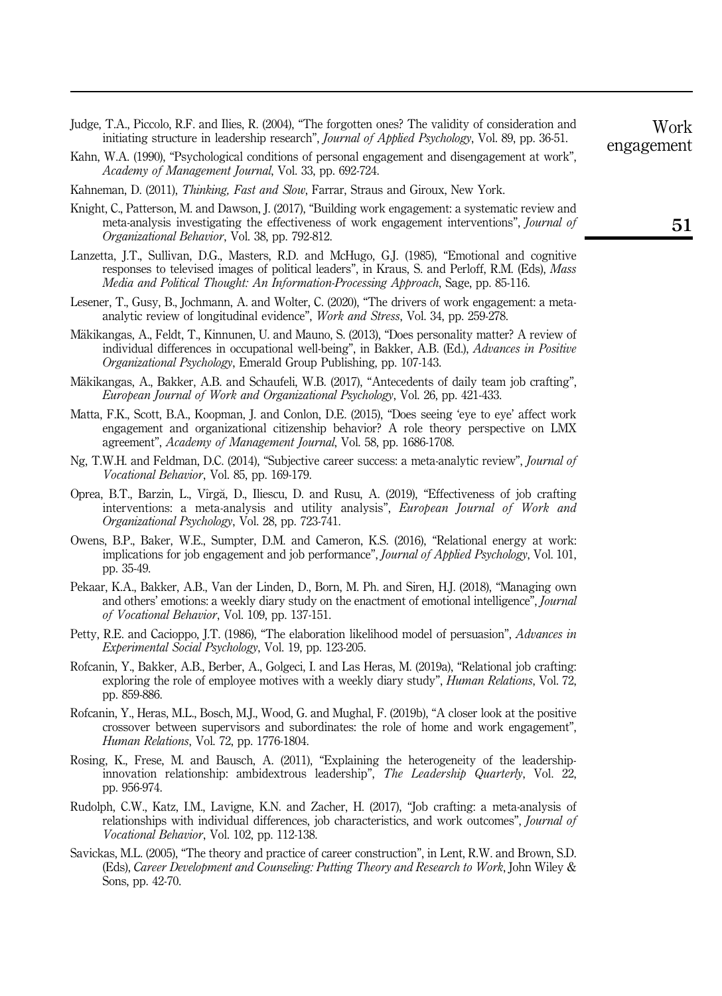- <span id="page-15-8"></span>Judge, T.A., Piccolo, R.F. and Ilies, R. (2004), "The forgotten ones? The validity of consideration and initiating structure in leadership research", Journal of Applied Psychology, Vol. 89, pp. 36-51.
- <span id="page-15-2"></span>Kahn, W.A. (1990), "Psychological conditions of personal engagement and disengagement at work", Academy of Management Journal, Vol. 33, pp. 692-724.
- <span id="page-15-10"></span>Kahneman, D. (2011), Thinking, Fast and Slow, Farrar, Straus and Giroux, New York.
- <span id="page-15-4"></span>Knight, C., Patterson, M. and Dawson, J. (2017), "Building work engagement: a systematic review and meta-analysis investigating the effectiveness of work engagement interventions", Journal of Organizational Behavior, Vol. 38, pp. 792-812.
- <span id="page-15-6"></span>Lanzetta, J.T., Sullivan, D.G., Masters, R.D. and McHugo, G.J. (1985), "Emotional and cognitive responses to televised images of political leaders", in Kraus, S. and Perloff, R.M. (Eds), Mass Media and Political Thought: An Information-Processing Approach, Sage, pp. 85-116.
- <span id="page-15-13"></span>Lesener, T., Gusy, B., Jochmann, A. and Wolter, C. (2020), "The drivers of work engagement: a metaanalytic review of longitudinal evidence", Work and Stress, Vol. 34, pp. 259-278.
- <span id="page-15-5"></span>Mäkikangas, A., Feldt, T., Kinnunen, U. and Mauno, S. (2013), "Does personality matter? A review of individual differences in occupational well-being", in Bakker, A.B. (Ed.), Advances in Positive Organizational Psychology, Emerald Group Publishing, pp. 107-143.
- <span id="page-15-7"></span>Mäkikangas, A., Bakker, A.B. and Schaufeli, W.B. (2017), "Antecedents of daily team job crafting", European Journal of Work and Organizational Psychology, Vol. 26, pp. 421-433.
- <span id="page-15-3"></span>Matta, F.K., Scott, B.A., Koopman, J. and Conlon, D.E. (2015), "Does seeing 'eye to eye' affect work engagement and organizational citizenship behavior? A role theory perspective on LMX agreement", Academy of Management Journal, Vol. 58, pp. 1686-1708.
- <span id="page-15-1"></span>Ng, T.W.H. and Feldman, D.C. (2014), "Subjective career success: a meta-analytic review", Journal of Vocational Behavior, Vol. 85, pp. 169-179.
- <span id="page-15-18"></span>Oprea, B.T., Barzin, L., V^ırga, D., Iliescu, D. and Rusu, A. (2019), "Effectiveness of job crafting interventions: a meta-analysis and utility analysis", *European Journal of Work and* Organizational Psychology, Vol. 28, pp. 723-741.
- <span id="page-15-11"></span>Owens, B.P., Baker, W.E., Sumpter, D.M. and Cameron, K.S. (2016), "Relational energy at work: implications for job engagement and job performance", Journal of Applied Psychology, Vol. 101, pp. 35-49.
- <span id="page-15-17"></span>Pekaar, K.A., Bakker, A.B., Van der Linden, D., Born, M. Ph. and Siren, H.J. (2018), "Managing own and others' emotions: a weekly diary study on the enactment of emotional intelligence", Journal of Vocational Behavior, Vol. 109, pp. 137-151.
- <span id="page-15-9"></span>Petty, R.E. and Cacioppo, J.T. (1986), "The elaboration likelihood model of persuasion", *Advances in* Experimental Social Psychology, Vol. 19, pp. 123-205.
- <span id="page-15-14"></span>Rofcanin, Y., Bakker, A.B., Berber, A., Golgeci, I. and Las Heras, M. (2019a), "Relational job crafting: exploring the role of employee motives with a weekly diary study", *Human Relations*, Vol. 72, pp. 859-886.
- <span id="page-15-12"></span>Rofcanin, Y., Heras, M.L., Bosch, M.J., Wood, G. and Mughal, F. (2019b), "A closer look at the positive crossover between supervisors and subordinates: the role of home and work engagement", Human Relations, Vol. 72, pp. 1776-1804.
- <span id="page-15-16"></span>Rosing, K., Frese, M. and Bausch, A. (2011), "Explaining the heterogeneity of the leadershipinnovation relationship: ambidextrous leadership", The Leadership Quarterly, Vol. 22, pp. 956-974.
- <span id="page-15-15"></span>Rudolph, C.W., Katz, I.M., Lavigne, K.N. and Zacher, H. (2017), "Job crafting: a meta-analysis of relationships with individual differences, job characteristics, and work outcomes", *Journal of* Vocational Behavior, Vol. 102, pp. 112-138.
- <span id="page-15-0"></span>Savickas, M.L. (2005), "The theory and practice of career construction", in Lent, R.W. and Brown, S.D. (Eds), Career Development and Counseling: Putting Theory and Research to Work, John Wiley & Sons, pp. 42-70.

Work engagement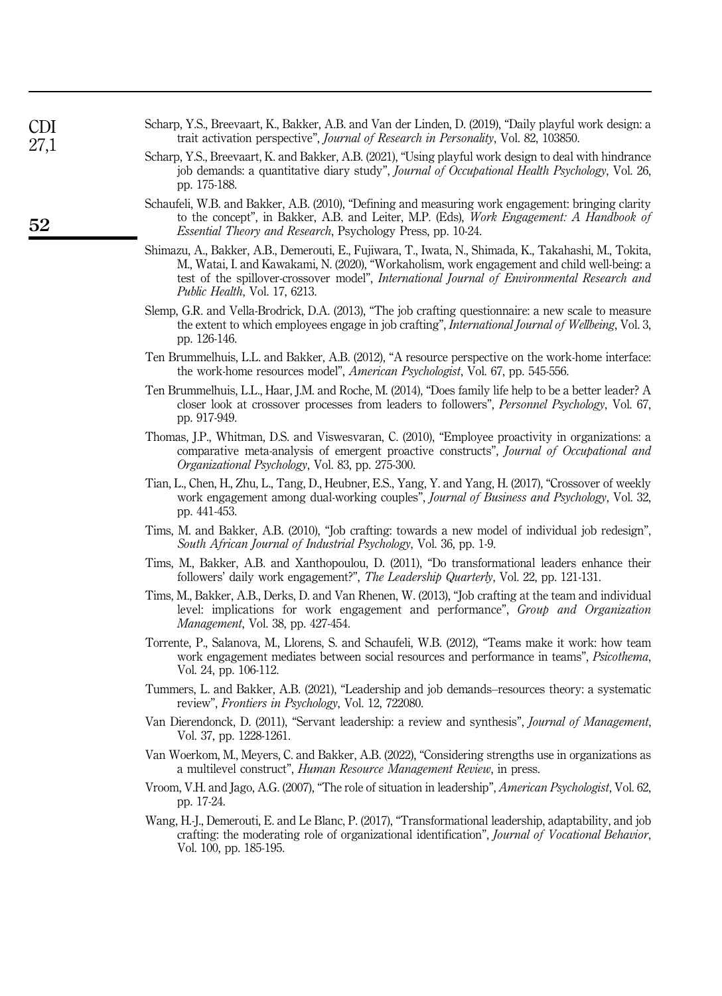- <span id="page-16-2"></span>Scharp, Y.S., Breevaart, K., Bakker, A.B. and Van der Linden, D. (2019), "Daily playful work design: a trait activation perspective", Journal of Research in Personality, Vol. 82, 103850.
- <span id="page-16-13"></span>Scharp, Y.S., Breevaart, K. and Bakker, A.B. (2021), "Using playful work design to deal with hindrance job demands: a quantitative diary study", Journal of Occupational Health Psychology, Vol. 26, pp. 175-188.
- <span id="page-16-0"></span>Schaufeli, W.B. and Bakker, A.B. (2010), "Defining and measuring work engagement: bringing clarity to the concept", in Bakker, A.B. and Leiter, M.P. (Eds), Work Engagement: A Handbook of Essential Theory and Research, Psychology Press, pp. 10-24.
- <span id="page-16-16"></span>Shimazu, A., Bakker, A.B., Demerouti, E., Fujiwara, T., Iwata, N., Shimada, K., Takahashi, M., Tokita, M., Watai, I. and Kawakami, N. (2020), "Workaholism, work engagement and child well-being: a test of the spillover-crossover model", International Journal of Environmental Research and Public Health, Vol. 17, 6213.
- <span id="page-16-12"></span>Slemp, G.R. and Vella-Brodrick, D.A. (2013), "The job crafting questionnaire: a new scale to measure the extent to which employees engage in job crafting", *International Journal of Wellbeing*, Vol. 3, pp. 126-146.
- <span id="page-16-14"></span>Ten Brummelhuis, L.L. and Bakker, A.B. (2012), "A resource perspective on the work-home interface: the work-home resources model", *American Psychologist*, Vol. 67, pp. 545-556.
- <span id="page-16-8"></span>Ten Brummelhuis, L.L., Haar, J.M. and Roche, M. (2014), "Does family life help to be a better leader? A closer look at crossover processes from leaders to followers", Personnel Psychology, Vol. 67, pp. 917-949.
- <span id="page-16-11"></span>Thomas, J.P., Whitman, D.S. and Viswesvaran, C. (2010), "Employee proactivity in organizations: a comparative meta-analysis of emergent proactive constructs", Journal of Occupational and Organizational Psychology, Vol. 83, pp. 275-300.
- <span id="page-16-15"></span>Tian, L., Chen, H., Zhu, L., Tang, D., Heubner, E.S., Yang, Y. and Yang, H. (2017), "Crossover of weekly work engagement among dual-working couples", Journal of Business and Psychology, Vol. 32, pp. 441-453.
- <span id="page-16-1"></span>Tims, M. and Bakker, A.B. (2010), "Job crafting: towards a new model of individual job redesign", South African Journal of Industrial Psychology, Vol. 36, pp. 1-9.
- <span id="page-16-9"></span>Tims, M., Bakker, A.B. and Xanthopoulou, D. (2011), "Do transformational leaders enhance their followers' daily work engagement?", The Leadership Quarterly, Vol. 22, pp. 121-131.
- <span id="page-16-4"></span>Tims, M., Bakker, A.B., Derks, D. and Van Rhenen, W. (2013), "Job crafting at the team and individual level: implications for work engagement and performance", Group and Organization Management, Vol. 38, pp. 427-454.
- <span id="page-16-3"></span>Torrente, P., Salanova, M., Llorens, S. and Schaufeli, W.B. (2012), "Teams make it work: how team work engagement mediates between social resources and performance in teams", *Psicothema*, Vol. 24, pp. 106-112.
- <span id="page-16-5"></span>Tummers, L. and Bakker, A.B. (2021), "Leadership and job demands–resources theory: a systematic review", Frontiers in Psychology, Vol. 12, 722080.
- <span id="page-16-10"></span>Van Dierendonck, D. (2011), "Servant leadership: a review and synthesis", Journal of Management, Vol. 37, pp. 1228-1261.
- <span id="page-16-17"></span>Van Woerkom, M., Meyers, C. and Bakker, A.B. (2022), "Considering strengths use in organizations as a multilevel construct", Human Resource Management Review, in press.
- <span id="page-16-6"></span>Vroom, V.H. and Jago, A.G. (2007), "The role of situation in leadership", American Psychologist, Vol. 62, pp. 17-24.
- <span id="page-16-7"></span>Wang, H.-J., Demerouti, E. and Le Blanc, P. (2017), "Transformational leadership, adaptability, and job crafting: the moderating role of organizational identification", Journal of Vocational Behavior, Vol. 100, pp. 185-195.